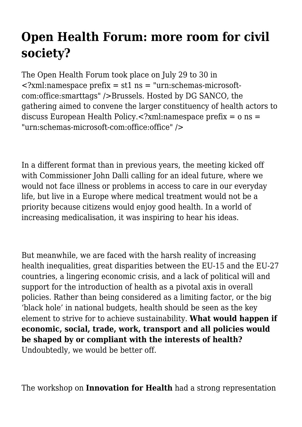## **Open Health Forum: more room for civil society?**

The Open Health Forum took place on July 29 to 30 in  $\langle$  -2xml:namespace prefix = st1 ns = "urn:schemas-microsoftcom:office:smarttags" />Brussels. Hosted by DG SANCO, the gathering aimed to convene the larger constituency of health actors to discuss European Health Policy.<?xml:namespace prefix = o ns = "urn:schemas-microsoft-com:office:office" />

In a different format than in previous years, the meeting kicked off with Commissioner John Dalli calling for an ideal future, where we would not face illness or problems in access to care in our everyday life, but live in a Europe where medical treatment would not be a priority because citizens would enjoy good health. In a world of increasing medicalisation, it was inspiring to hear his ideas.

But meanwhile, we are faced with the harsh reality of increasing health inequalities, great disparities between the EU-15 and the EU-27 countries, a lingering economic crisis, and a lack of political will and support for the introduction of health as a pivotal axis in overall policies. Rather than being considered as a limiting factor, or the big 'black hole' in national budgets, health should be seen as the key element to strive for to achieve sustainability. **What would happen if economic, social, trade, work, transport and all policies would be shaped by or compliant with the interests of health?** Undoubtedly, we would be better off.

The workshop on **Innovation for Health** had a strong representation